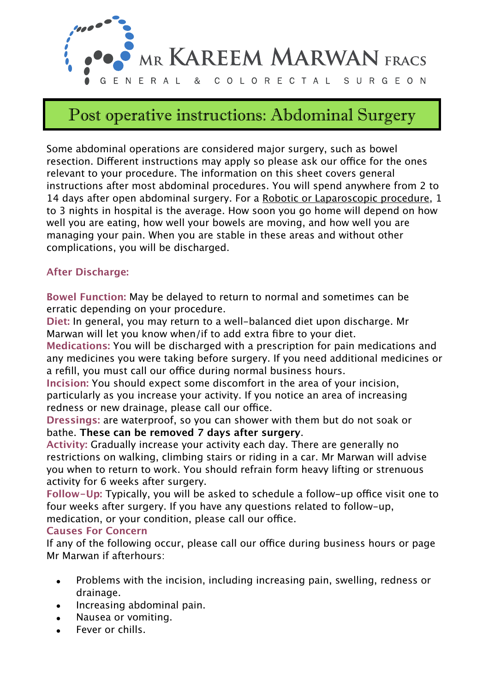

# Post operative instructions: Abdominal Surgery

Some abdominal operations are considered major surgery, such as bowel resection. Different instructions may apply so please ask our office for the ones relevant to your procedure. The information on this sheet covers general instructions after most abdominal procedures. You will spend anywhere from 2 to 14 days after open abdominal surgery. For a Robotic or Laparoscopic procedure, 1 to 3 nights in hospital is the average. How soon you go home will depend on how well you are eating, how well your bowels are moving, and how well you are managing your pain. When you are stable in these areas and without other complications, you will be discharged.

## **After Discharge:**

**Bowel Function:** May be delayed to return to normal and sometimes can be erratic depending on your procedure.

**Diet:** In general, you may return to a well-balanced diet upon discharge. Mr Marwan will let you know when/if to add extra fibre to your diet.

**Medications:** You will be discharged with a prescription for pain medications and any medicines you were taking before surgery. If you need additional medicines or a refill, you must call our office during normal business hours.

**Incision:** You should expect some discomfort in the area of your incision, particularly as you increase your activity. If you notice an area of increasing redness or new drainage, please call our office.

**Dressings:** are waterproof, so you can shower with them but do not soak or bathe. **These can be removed 7 days after surgery**.

**Activity:** Gradually increase your activity each day. There are generally no restrictions on walking, climbing stairs or riding in a car. Mr Marwan will advise you when to return to work. You should refrain form heavy lifting or strenuous activity for 6 weeks after surgery.

**Follow-Up:** Typically, you will be asked to schedule a follow-up office visit one to four weeks after surgery. If you have any questions related to follow-up,

medication, or your condition, please call our office.

#### **Causes For Concern**

If any of the following occur, please call our office during business hours or page Mr Marwan if afterhours:

- Problems with the incision, including increasing pain, swelling, redness or drainage.
- Increasing abdominal pain.
- Nausea or vomiting.
- Fever or chills.